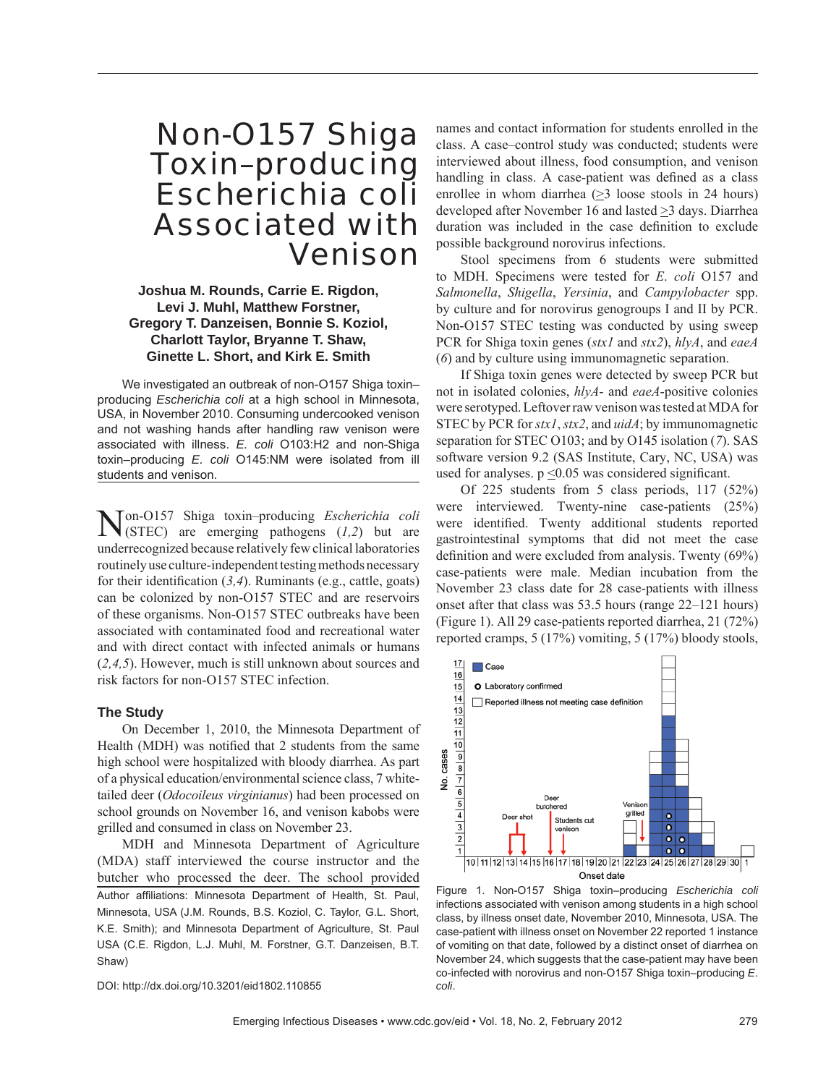# Non-O157 Shiga Toxin–producing *Escherichia coli* Associated with Venison

# **Joshua M. Rounds, Carrie E. Rigdon, Levi J. Muhl, Matthew Forstner, Gregory T. Danzeisen, Bonnie S. Koziol, Charlott Taylor, Bryanne T. Shaw, Ginette L. Short, and Kirk E. Smith**

We investigated an outbreak of non-O157 Shiga toxin– producing *Escherichia coli* at a high school in Minnesota, USA, in November 2010. Consuming undercooked venison and not washing hands after handling raw venison were associated with illness. *E. coli* O103:H2 and non-Shiga toxin–producing *E. coli* O145:NM were isolated from ill students and venison.

Non-O157 Shiga toxin–producing *Escherichia coli* (STEC) are emerging pathogens (*1,2*) but are underrecognized because relatively few clinical laboratories routinely use culture-independent testing methods necessary for their identification  $(3,4)$ . Ruminants (e.g., cattle, goats) can be colonized by non-O157 STEC and are reservoirs of these organisms. Non-O157 STEC outbreaks have been associated with contaminated food and recreational water and with direct contact with infected animals or humans (*2,4,5*). However, much is still unknown about sources and risk factors for non-O157 STEC infection.

#### **The Study**

On December 1, 2010, the Minnesota Department of Health (MDH) was notified that 2 students from the same high school were hospitalized with bloody diarrhea. As part of a physical education/environmental science class, 7 whitetailed deer (*Odocoileus virginianus*) had been processed on school grounds on November 16, and venison kabobs were grilled and consumed in class on November 23.

MDH and Minnesota Department of Agriculture (MDA) staff interviewed the course instructor and the butcher who processed the deer. The school provided Author affiliations: Minnesota Department of Health, St. Paul, Minnesota, USA (J.M. Rounds, B.S. Koziol, C. Taylor, G.L. Short, K.E. Smith); and Minnesota Department of Agriculture, St. Paul USA (C.E. Rigdon, L.J. Muhl, M. Forstner, G.T. Danzeisen, B.T. Shaw)

DOI: http://dx.doi.org/10.3201/eid1802.110855

names and contact information for students enrolled in the class. A case–control study was conducted; students were interviewed about illness, food consumption, and venison handling in class. A case-patient was defined as a class enrollee in whom diarrhea  $(\geq)$  loose stools in 24 hours) developed after November 16 and lasted >3 days. Diarrhea duration was included in the case definition to exclude possible background norovirus infections.

Stool specimens from 6 students were submitted to MDH. Specimens were tested for *E*. *coli* O157 and *Salmonella*, *Shigella*, *Yersinia*, and *Campylobacter* spp. by culture and for norovirus genogroups I and II by PCR. Non-O157 STEC testing was conducted by using sweep PCR for Shiga toxin genes (*stx1* and *stx2*), *hlyA*, and *eaeA* (*6*) and by culture using immunomagnetic separation.

If Shiga toxin genes were detected by sweep PCR but not in isolated colonies, *hlyA*- and *eaeA*-positive colonies were serotyped. Leftover raw venison was tested at MDA for STEC by PCR for *stx1*, *stx2*, and *uidA*; by immunomagnetic separation for STEC O103; and by O145 isolation (*7*). SAS software version 9.2 (SAS Institute, Cary, NC, USA) was used for analyses.  $p \le 0.05$  was considered significant.

Of 225 students from 5 class periods, 117 (52%) were interviewed. Twenty-nine case-patients (25%) were identified. Twenty additional students reported gastrointestinal symptoms that did not meet the case definition and were excluded from analysis. Twenty (69%) case-patients were male. Median incubation from the November 23 class date for 28 case-patients with illness onset after that class was 53.5 hours (range 22–121 hours) (Figure 1). All 29 case-patients reported diarrhea, 21 (72%) reported cramps, 5 (17%) vomiting, 5 (17%) bloody stools,



Figure 1. Non-O157 Shiga toxin–producing *Escherichia coli* infections associated with venison among students in a high school class, by illness onset date, November 2010, Minnesota, USA. The case-patient with illness onset on November 22 reported 1 instance of vomiting on that date, followed by a distinct onset of diarrhea on November 24, which suggests that the case-patient may have been co-infected with norovirus and non-O157 Shiga toxin–producing *E*. *coli*.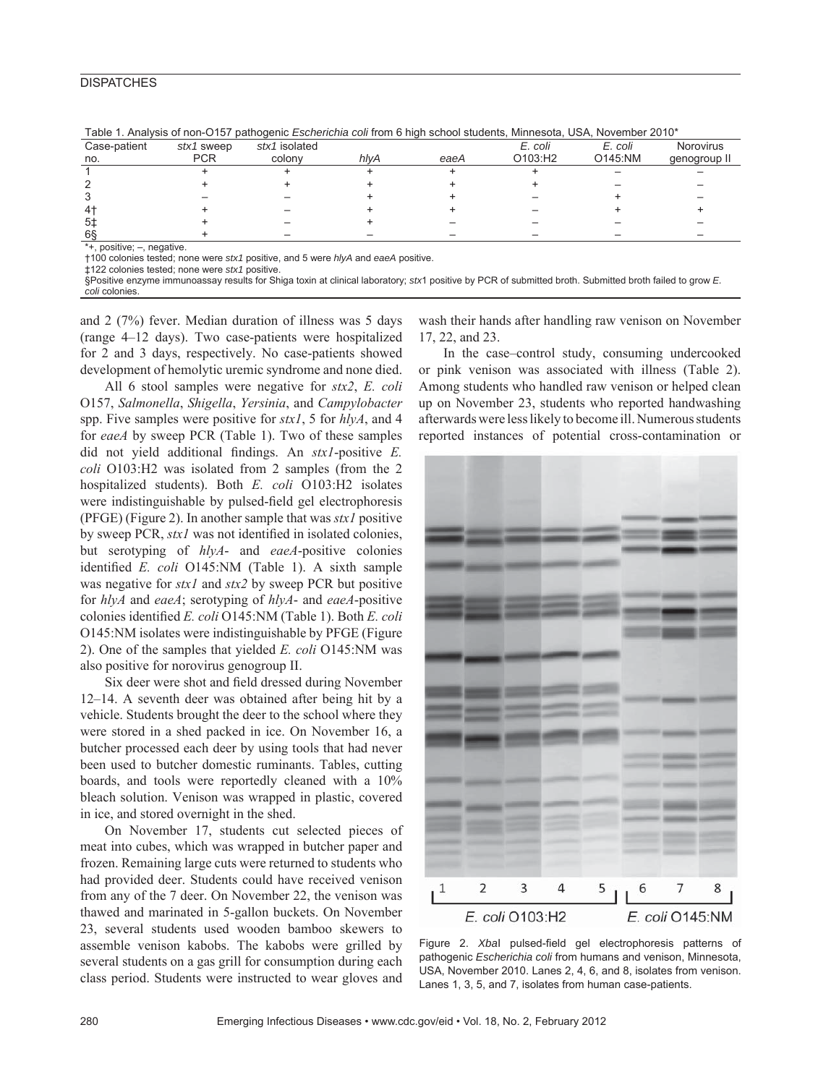# **DISPATCHES**

|                                |            |               |      | .    | - - - - - 1 | ___<br>__ | _____        |
|--------------------------------|------------|---------------|------|------|-------------|-----------|--------------|
| Case-patient                   | stx1 sweep | stx1 isolated |      |      | E. coli     | E. coli   | Norovirus    |
| no.                            | <b>PCR</b> | colony        | hlyA | eaeA | O103:H2     | O145:NM   | genogroup II |
|                                |            |               |      |      |             |           |              |
|                                |            |               |      |      |             |           |              |
|                                |            |               |      |      |             |           |              |
| 41                             |            |               |      |      |             |           |              |
| 5‡                             |            |               |      |      |             |           |              |
| 68                             |            |               |      |      |             |           |              |
| $*$ $\perp$ nogitive; nogative |            |               |      |      |             |           |              |

Table 1. Analysis of non-O157 pathogenic *Escherichia coli* from 6 high school students, Minnesota, USA, November 2010\*

\*+, positive; –, negative.

†100 colonies tested; none were *stx1* positive, and 5 were *hlyA* and *eaeA* positive.

‡122 colonies tested; none were *stx1* positive.

§Positive enzyme immunoassay results for Shiga toxin at clinical laboratory; *stx*1 positive by PCR of submitted broth. Submitted broth failed to grow *E. coli* colonies.

and 2 (7%) fever. Median duration of illness was 5 days (range 4–12 days). Two case-patients were hospitalized for 2 and 3 days, respectively. No case-patients showed development of hemolytic uremic syndrome and none died.

All 6 stool samples were negative for *stx2*, *E. coli* O157, *Salmonella*, *Shigella*, *Yersinia*, and *Campylobacter* spp. Five samples were positive for *stx1*, 5 for *hlyA*, and 4 for *eaeA* by sweep PCR (Table 1). Two of these samples did not yield additional findings. An *stx1*-positive *E*. *coli* O103:H2 was isolated from 2 samples (from the 2 hospitalized students). Both *E. coli* O103:H2 isolates were indistinguishable by pulsed-field gel electrophoresis (PFGE) (Figure 2). In another sample that was *stx1* positive by sweep PCR, *stx1* was not identified in isolated colonies, but serotyping of *hlyA*- and *eaeA*-positive colonies identified *E. coli* O145:NM (Table 1). A sixth sample was negative for *stx1* and *stx2* by sweep PCR but positive for *hlyA* and *eaeA*; serotyping of *hlyA*- and *eaeA*-positive colonies identified *E. coli* O145:NM (Table 1). Both *E. coli* O145:NM isolates were indistinguishable by PFGE (Figure 2). One of the samples that yielded *E. coli* O145:NM was also positive for norovirus genogroup II.

Six deer were shot and field dressed during November 12–14. A seventh deer was obtained after being hit by a vehicle. Students brought the deer to the school where they were stored in a shed packed in ice. On November 16, a butcher processed each deer by using tools that had never been used to butcher domestic ruminants. Tables, cutting boards, and tools were reportedly cleaned with a 10% bleach solution. Venison was wrapped in plastic, covered in ice, and stored overnight in the shed.

On November 17, students cut selected pieces of meat into cubes, which was wrapped in butcher paper and frozen. Remaining large cuts were returned to students who had provided deer. Students could have received venison from any of the 7 deer. On November 22, the venison was thawed and marinated in 5-gallon buckets. On November 23, several students used wooden bamboo skewers to assemble venison kabobs. The kabobs were grilled by several students on a gas grill for consumption during each class period. Students were instructed to wear gloves and

wash their hands after handling raw venison on November 17, 22, and 23.

In the case–control study, consuming undercooked or pink venison was associated with illness (Table 2). Among students who handled raw venison or helped clean up on November 23, students who reported handwashing afterwards were less likely to become ill. Numerous students reported instances of potential cross-contamination or



Figure 2. Xbal pulsed-field gel electrophoresis patterns of pathogenic *Escherichia coli* from humans and venison, Minnesota, USA, November 2010. Lanes 2, 4, 6, and 8, isolates from venison. Lanes 1, 3, 5, and 7, isolates from human case-patients.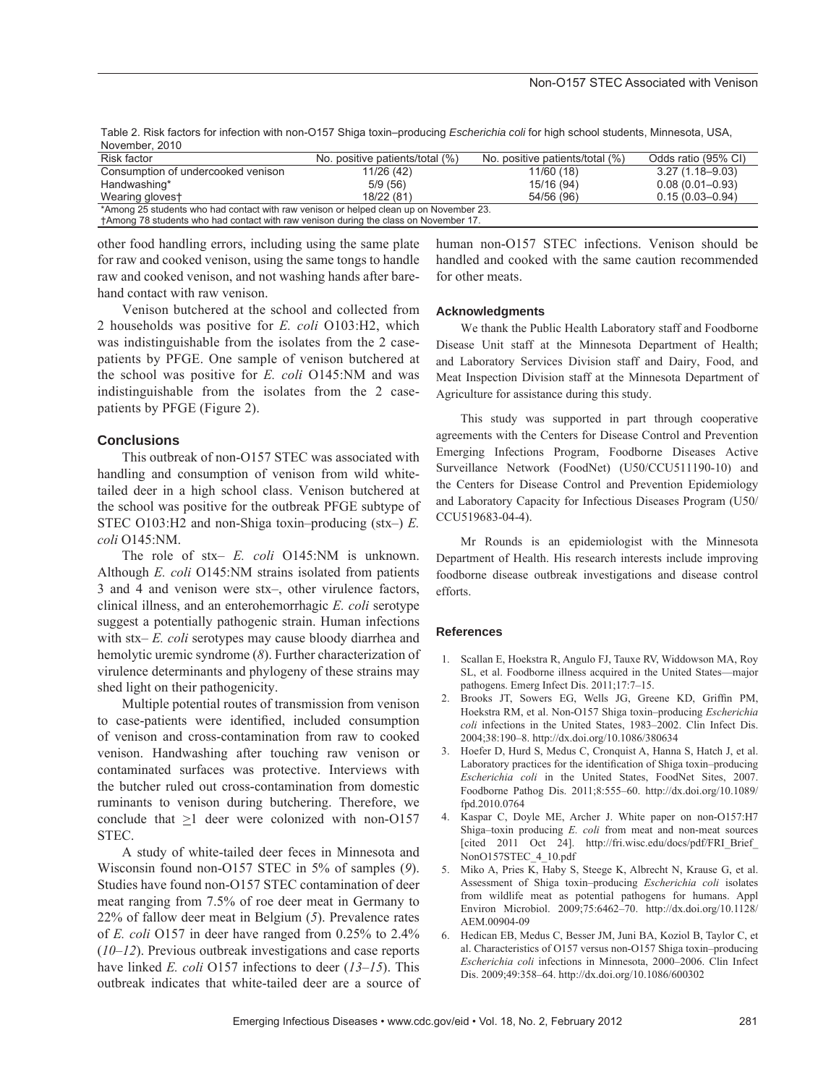| November, 2010                     |                                 |                                 |                     |
|------------------------------------|---------------------------------|---------------------------------|---------------------|
| Risk factor                        | No. positive patients/total (%) | No. positive patients/total (%) | Odds ratio (95% CI) |
| Consumption of undercooked venison | 11/26 (42)                      | 11/60 (18)                      | $3.27(1.18 - 9.03)$ |
| Handwashing*                       | 5/9(56)                         | 15/16 (94)                      | $0.08(0.01 - 0.93)$ |
| Wearing glovest                    | 18/22 (81)                      | 54/56 (96)                      | $0.15(0.03 - 0.94)$ |

Table 2. Risk factors for infection with non-O157 Shiga toxin–producing *Escherichia coli* for high school students, Minnesota, USA,

\*Among 25 students who had contact with raw venison or helped clean up on November 23.

†Among 78 students who had contact with raw venison during the class on November 17.

other food handling errors, including using the same plate for raw and cooked venison, using the same tongs to handle raw and cooked venison, and not washing hands after barehand contact with raw venison.

human non-O157 STEC infections. Venison should be handled and cooked with the same caution recommended for other meats.

Venison butchered at the school and collected from 2 households was positive for *E. coli* O103:H2, which was indistinguishable from the isolates from the 2 casepatients by PFGE. One sample of venison butchered at the school was positive for *E. coli* O145:NM and was indistinguishable from the isolates from the 2 casepatients by PFGE (Figure 2).

## **Conclusions**

This outbreak of non-O157 STEC was associated with handling and consumption of venison from wild whitetailed deer in a high school class. Venison butchered at the school was positive for the outbreak PFGE subtype of STEC O103:H2 and non-Shiga toxin–producing (stx–) *E. coli* O145:NM.

The role of stx– *E. coli* O145:NM is unknown. Although *E. coli* O145:NM strains isolated from patients 3 and 4 and venison were stx–, other virulence factors, clinical illness, and an enterohemorrhagic *E. coli* serotype suggest a potentially pathogenic strain. Human infections with stx– *E. coli* serotypes may cause bloody diarrhea and hemolytic uremic syndrome (*8*). Further characterization of virulence determinants and phylogeny of these strains may shed light on their pathogenicity.

Multiple potential routes of transmission from venison to case-patients were identified, included consumption of venison and cross-contamination from raw to cooked venison. Handwashing after touching raw venison or contaminated surfaces was protective. Interviews with the butcher ruled out cross-contamination from domestic ruminants to venison during butchering. Therefore, we conclude that  $\geq 1$  deer were colonized with non-O157 STEC.

A study of white-tailed deer feces in Minnesota and Wisconsin found non-O157 STEC in 5% of samples (*9*). Studies have found non-O157 STEC contamination of deer meat ranging from 7.5% of roe deer meat in Germany to 22% of fallow deer meat in Belgium (*5*). Prevalence rates of *E. coli* O157 in deer have ranged from 0.25% to 2.4% (*10–12*). Previous outbreak investigations and case reports have linked *E. coli* O157 infections to deer (*13–15*). This outbreak indicates that white-tailed deer are a source of

#### **Acknowledgments**

We thank the Public Health Laboratory staff and Foodborne Disease Unit staff at the Minnesota Department of Health; and Laboratory Services Division staff and Dairy, Food, and Meat Inspection Division staff at the Minnesota Department of Agriculture for assistance during this study.

This study was supported in part through cooperative agreements with the Centers for Disease Control and Prevention Emerging Infections Program, Foodborne Diseases Active Surveillance Network (FoodNet) (U50/CCU511190-10) and the Centers for Disease Control and Prevention Epidemiology and Laboratory Capacity for Infectious Diseases Program (U50/ CCU519683-04-4).

Mr Rounds is an epidemiologist with the Minnesota Department of Health. His research interests include improving foodborne disease outbreak investigations and disease control efforts.

#### **References**

- 1. Scallan E, Hoekstra R, Angulo FJ, Tauxe RV, Widdowson MA, Roy SL, et al. Foodborne illness acquired in the United States—major pathogens. Emerg Infect Dis. 2011;17:7–15.
- 2. Brooks JT, Sowers EG, Wells JG, Greene KD, Griffin PM, Hoekstra RM, et al. Non-O157 Shiga toxin–producing *Escherichia coli* infections in the United States, 1983–2002. Clin Infect Dis. 2004;38:190–8. http://dx.doi.org/10.1086/380634
- 3. Hoefer D, Hurd S, Medus C, Cronquist A, Hanna S, Hatch J, et al. Laboratory practices for the identification of Shiga toxin–producing *Escherichia coli* in the United States, FoodNet Sites, 2007. Foodborne Pathog Dis. 2011;8:555–60. http://dx.doi.org/10.1089/ fpd.2010.0764
- 4. Kaspar C, Doyle ME, Archer J. White paper on non-O157:H7 Shiga–toxin producing *E. coli* from meat and non-meat sources [cited 2011 Oct 24]. http://fri.wisc.edu/docs/pdf/FRI Brief NonO157STEC\_4\_10.pdf
- 5. Miko A, Pries K, Haby S, Steege K, Albrecht N, Krause G, et al. Assessment of Shiga toxin–producing *Escherichia coli* isolates from wildlife meat as potential pathogens for humans. Appl Environ Microbiol. 2009;75:6462–70. http://dx.doi.org/10.1128/ AEM.00904-09
- 6. Hedican EB, Medus C, Besser JM, Juni BA, Koziol B, Taylor C, et al. Characteristics of O157 versus non-O157 Shiga toxin–producing *Escherichia coli* infections in Minnesota, 2000–2006. Clin Infect Dis. 2009;49:358–64. http://dx.doi.org/10.1086/600302